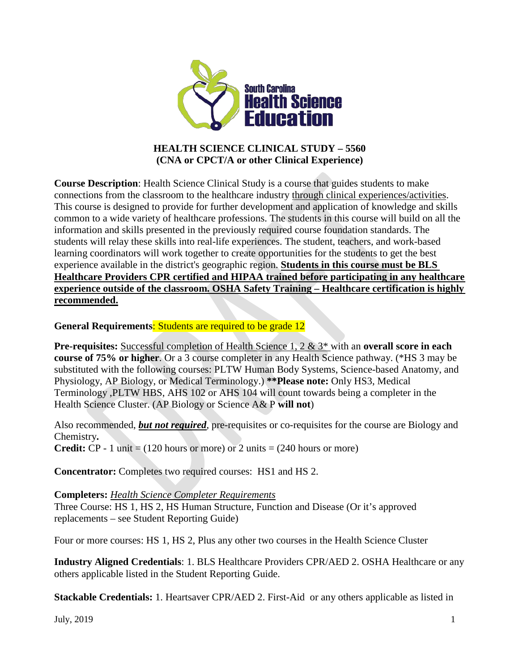

### **HEALTH SCIENCE CLINICAL STUDY – 5560 (CNA or CPCT/A or other Clinical Experience)**

**Course Description**: Health Science Clinical Study is a course that guides students to make connections from the classroom to the healthcare industry through clinical experiences/activities. This course is designed to provide for further development and application of knowledge and skills common to a wide variety of healthcare professions. The students in this course will build on all the information and skills presented in the previously required course foundation standards. The students will relay these skills into real-life experiences. The student, teachers, and work-based learning coordinators will work together to create opportunities for the students to get the best experience available in the district's geographic region. **Students in this course must be BLS Healthcare Providers CPR certified and HIPAA trained before participating in any healthcare experience outside of the classroom. OSHA Safety Training – Healthcare certification is highly recommended.**

**General Requirements**: Students are required to be grade 12

**Pre-requisites:** Successful completion of Health Science 1, 2 & 3\* with an **overall score in each course of 75% or higher**. Or a 3 course completer in any Health Science pathway. (\*HS 3 may be substituted with the following courses: PLTW Human Body Systems, Science-based Anatomy, and Physiology, AP Biology, or Medical Terminology.) **\*\*Please note:** Only HS3, Medical Terminology ,PLTW HBS, AHS 102 or AHS 104 will count towards being a completer in the Health Science Cluster. (AP Biology or Science A& P **will not**)

Also recommended, *but not required*, pre-requisites or co-requisites for the course are Biology and Chemistry**.**

**Credit:**  $CP - 1$  unit = (120 hours or more) or 2 units = (240 hours or more)

**Concentrator:** Completes two required courses: HS1 and HS 2.

#### **Completers:** *[Health Science Completer Requirements](https://ed.sc.gov/instruction/career-and-technology-education/programs-and-courses/career-clusters/health-science-education/three-unit-requirement/)*

Three Course: HS 1, HS 2, HS Human Structure, Function and Disease (Or it's approved replacements – see Student Reporting Guide)

Four or more courses: HS 1, HS 2, Plus any other two courses in the Health Science Cluster

**Industry Aligned Credentials**: 1. BLS Healthcare Providers CPR/AED 2. OSHA Healthcare or any others applicable listed in the Student Reporting Guide.

**Stackable Credentials:** 1. Heartsaver CPR/AED 2. First-Aid or any others applicable as listed in

July,  $2019$   $1$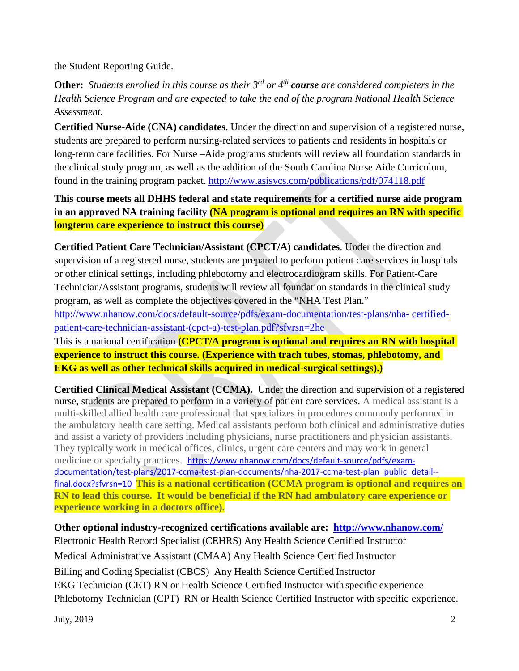the Student Reporting Guide.

**Other:** *Students enrolled in this course as their 3rd or 4th course are considered completers in the Health Science Program and are expected to take the end of the program National Health Science Assessment.*

**Certified Nurse-Aide (CNA) candidates**. Under the direction and supervision of a registered nurse, students are prepared to perform nursing-related services to patients and residents in hospitals or long-term care facilities. For Nurse –Aide programs students will review all foundation standards in the clinical study program, as well as the addition of the South Carolina Nurse Aide Curriculum, found in the training program packet.<http://www.asisvcs.com/publications/pdf/074118.pdf>

**This course meets all DHHS federal and state requirements for a certified nurse aide program in an approved NA training facility (NA program is optional and requires an RN with specific longterm care experience to instruct this course)**

**Certified Patient Care Technician/Assistant (CPCT/A) candidates**. Under the direction and supervision of a registered nurse, students are prepared to perform patient care services in hospitals or other clinical settings, including phlebotomy and electrocardiogram skills. For Patient-Care Technician/Assistant programs, students will review all foundation standards in the clinical study program, as well as complete the objectives covered in the "NHA Test Plan."

[http://www.nhanow.com/docs/default-source/pdfs/exam-documentation/test-plans/nha-](http://www.nhanow.com/docs/default-source/pdfs/exam-documentation/test-plans/nha-certified-patient-care-technician-assistant-(cpct-a)-test-plan.pdf?sfvrsn=2he) [certified](http://www.nhanow.com/docs/default-source/pdfs/exam-documentation/test-plans/nha-certified-patient-care-technician-assistant-(cpct-a)-test-plan.pdf?sfvrsn=2he)[patient-care-technician-assistant-\(cpct-a\)-test-plan.pdf?sfvrsn=2he](http://www.nhanow.com/docs/default-source/pdfs/exam-documentation/test-plans/nha-certified-patient-care-technician-assistant-(cpct-a)-test-plan.pdf?sfvrsn=2he)

This is a national certification **(CPCT/A program is optional and requires an RN with hospital experience to instruct this course. (Experience with trach tubes, stomas, phlebotomy, and EKG as well as other technical skills acquired in medical-surgical settings).)**

**Certified Clinical Medical Assistant (CCMA).** Under the direction and supervision of a registered nurse, students are prepared to perform in a variety of patient care services. A medical assistant is a multi-skilled allied health care professional that specializes in procedures commonly performed in the ambulatory health care setting. Medical assistants perform both clinical and administrative duties and assist a variety of providers including physicians, nurse practitioners and physician assistants. They typically work in medical offices, clinics, urgent care centers and may work in general medicine or specialty practices. [https://www.nhanow.com/docs/default-source/pdfs/exam](https://www.nhanow.com/docs/default-source/pdfs/exam-documentation/test-plans/2017-ccma-test-plan-documents/nha-2017-ccma-test-plan_public_detail--final.docx?sfvrsn=10)[documentation/test-plans/2017-ccma-test-plan-documents/nha-2017-ccma-test-plan\\_public\\_detail-](https://www.nhanow.com/docs/default-source/pdfs/exam-documentation/test-plans/2017-ccma-test-plan-documents/nha-2017-ccma-test-plan_public_detail--final.docx?sfvrsn=10) [final.docx?sfvrsn=10](https://www.nhanow.com/docs/default-source/pdfs/exam-documentation/test-plans/2017-ccma-test-plan-documents/nha-2017-ccma-test-plan_public_detail--final.docx?sfvrsn=10) **This is a national certification (CCMA program is optional and requires an RN to lead this course. It would be beneficial if the RN had ambulatory care experience or experience working in a doctors office).**

**Other optional industry-recognized certifications available are: <http://www.nhanow.com/>** Electronic Health Record Specialist (CEHRS) Any Health Science Certified Instructor Medical Administrative Assistant (CMAA) Any Health Science Certified Instructor Billing and Coding Specialist (CBCS) Any Health Science Certified Instructor EKG Technician (CET) RN or Health Science Certified Instructor with specific experience Phlebotomy Technician (CPT) RN or Health Science Certified Instructor with specific experience.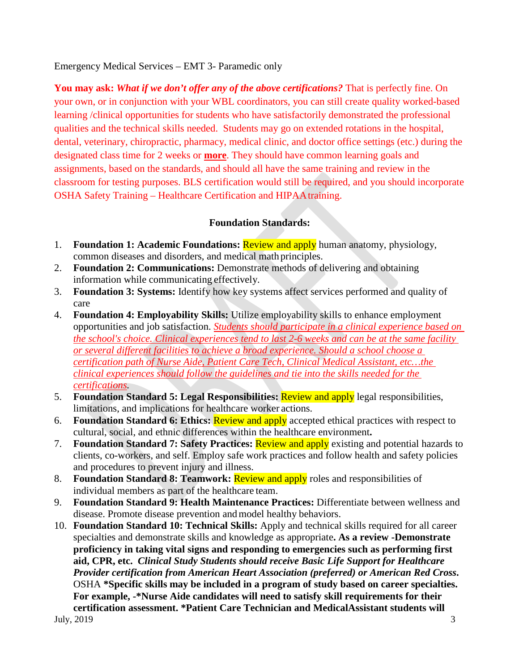Emergency Medical Services – EMT 3- Paramedic only

**You may ask:** *What if we don't offer any of the above certifications?* That is perfectly fine. On your own, or in conjunction with your WBL coordinators, you can still create quality worked-based learning /clinical opportunities for students who have satisfactorily demonstrated the professional qualities and the technical skills needed. Students may go on extended rotations in the hospital, dental, veterinary, chiropractic, pharmacy, medical clinic, and doctor office settings (etc.) during the designated class time for 2 weeks or **more**. They should have common learning goals and assignments, based on the standards, and should all have the same training and review in the classroom for testing purposes. BLS certification would still be required, and you should incorporate OSHA Safety Training – Healthcare Certification and HIPAAtraining.

## **Foundation Standards:**

- 1. **Foundation 1: Academic Foundations:** Review and apply human anatomy, physiology, common diseases and disorders, and medical math principles.
- 2. **Foundation 2: Communications:** Demonstrate methods of delivering and obtaining information while communicating effectively.
- 3. **Foundation 3: Systems:** Identify how key systems affect services performed and quality of care
- 4. **Foundation 4: Employability Skills:** Utilize employability skills to enhance employment opportunities and job satisfaction. *Students should participate in a clinical experience based on the school's choice. Clinical experiences tend to last 2-6 weeks and can be at the same facility or several different facilities to achieve a broad experience. Should a school choose a certification path of Nurse Aide, Patient Care Tech, Clinical Medical Assistant, etc…the clinical experiences should follow the guidelines and tie into the skills needed for the certifications.*
- 5. **Foundation Standard 5: Legal Responsibilities:** Review and apply legal responsibilities, limitations, and implications for healthcare worker actions.
- 6. **Foundation Standard 6: Ethics:** Review and apply accepted ethical practices with respect to cultural, social, and ethnic differences within the healthcare environment**.**
- 7. **Foundation Standard 7: Safety Practices:** Review and apply existing and potential hazards to clients, co-workers, and self. Employ safe work practices and follow health and safety policies and procedures to prevent injury and illness.
- 8. **Foundation Standard 8: Teamwork:** Review and apply roles and responsibilities of individual members as part of the healthcare team.
- 9. **Foundation Standard 9: Health Maintenance Practices:** Differentiate between wellness and disease. Promote disease prevention andmodel healthy behaviors.
- July,  $2019$   $3$ 10. **Foundation Standard 10: Technical Skills:** Apply and technical skills required for all career specialties and demonstrate skills and knowledge as appropriate**. As a review -Demonstrate proficiency in taking vital signs and responding to emergencies such as performing first aid, CPR, etc.** *Clinical Study Students should receive Basic Life Support for Healthcare Provider certification from American Heart Association (preferred) or American Red Cross***.**  OSHA **\*Specific skills may be included in a program of study based on career specialties. For example, -\*Nurse Aide candidates will need to satisfy skill requirements for their certification assessment. \*Patient Care Technician and MedicalAssistant students will**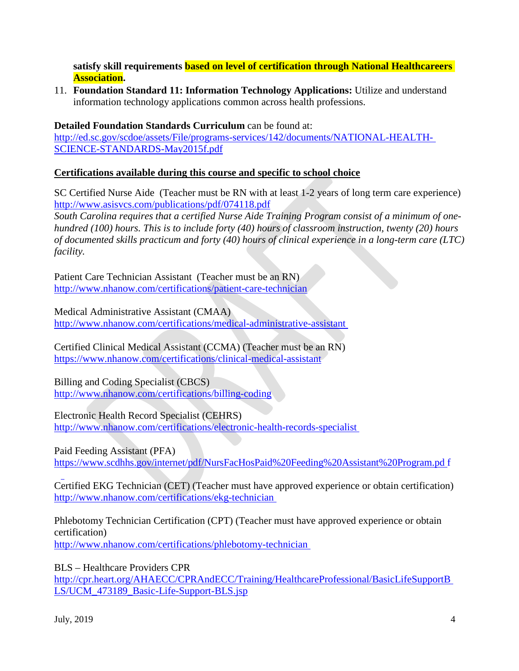**satisfy skill requirements based on level of certification through National Healthcareers Association.** 

11. **Foundation Standard 11: Information Technology Applications:** Utilize and understand information technology applications common across health professions.

## **Detailed Foundation Standards Curriculum** can be found at:

[http://ed.sc.gov/scdoe/assets/File/programs-services/142/documents/NATIONAL-HEALTH-](http://ed.sc.gov/scdoe/assets/File/programs-services/142/documents/NATIONAL-HEALTH-SCIENCE-STANDARDS-May2015f.pdf)[SCIENCE-STANDARDS-May2015f.pdf](http://ed.sc.gov/scdoe/assets/File/programs-services/142/documents/NATIONAL-HEALTH-SCIENCE-STANDARDS-May2015f.pdf)

## **Certifications available during this course and specific to school choice**

SC Certified Nurse Aide(Teacher must be RN with at least 1-2 years of long term care experience) <http://www.asisvcs.com/publications/pdf/074118.pdf>

*South Carolina requires that a certified Nurse Aide Training Program consist of a minimum of onehundred (100) hours. This is to include forty (40) hours of classroom instruction, twenty (20) hours of documented skills practicum and forty (40) hours of clinical experience in a long-term care (LTC) facility.*

Patient Care Technician Assistant (Teacher must be an RN) <http://www.nhanow.com/certifications/patient-care-technician>

Medical Administrative Assistant (CMAA) <http://www.nhanow.com/certifications/medical-administrative-assistant>

Certified Clinical Medical Assistant (CCMA) (Teacher must be an RN) <https://www.nhanow.com/certifications/clinical-medical-assistant>

Billing and Coding Specialist (CBCS) <http://www.nhanow.com/certifications/billing-coding>

### Electronic Health Record Specialist (CEHRS)

<http://www.nhanow.com/certifications/electronic-health-records-specialist>

### Paid Feeding Assistant (PFA)

[https://www.scdhhs.gov/internet/pdf/NursFacHosPaid%20Feeding%20Assistant%20Program.pd](https://www.scdhhs.gov/internet/pdf/NursFacHosPaid%20Feeding%20Assistant%20Program.pdf) [f](https://www.scdhhs.gov/internet/pdf/NursFacHosPaid%20Feeding%20Assistant%20Program.pdf)

Certified EKG Technician (CET) (Teacher must have approved experience or obtain certification) <http://www.nhanow.com/certifications/ekg-technician>

Phlebotomy Technician Certification (CPT) (Teacher must have approved experience or obtain certification) <http://www.nhanow.com/certifications/phlebotomy-technician>

BLS – Healthcare Providers CPR

[http://cpr.heart.org/AHAECC/CPRAndECC/Training/HealthcareProfessional/BasicLifeSupportB](http://cpr.heart.org/AHAECC/CPRAndECC/Training/HealthcareProfessional/BasicLifeSupportBLS/UCM_473189_Basic-Life-Support-BLS.jsp) [LS/UCM\\_473189\\_Basic-Life-Support-BLS.jsp](http://cpr.heart.org/AHAECC/CPRAndECC/Training/HealthcareProfessional/BasicLifeSupportBLS/UCM_473189_Basic-Life-Support-BLS.jsp)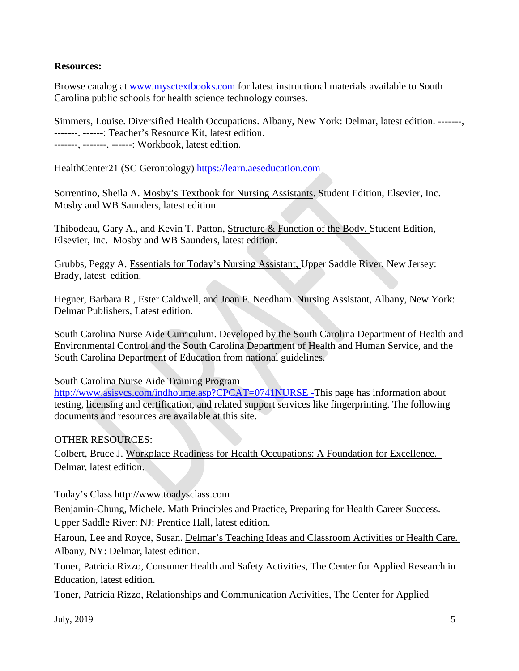#### **Resources:**

Browse catalog at [www.mysctextbooks.com f](http://www.mysctextbooks.com/)or latest instructional materials available to South Carolina public schools for health science technology courses.

Simmers, Louise. Diversified Health Occupations. Albany, New York: Delmar, latest edition. -------, -------. ------: Teacher's Resource Kit, latest edition. -------, -------. ------: Workbook, latest edition.

HealthCenter21 (SC Gerontology) [https://learn.aeseducation.com](https://learn.aeseducation.com/)

Sorrentino, Sheila A. Mosby's Textbook for Nursing Assistants. Student Edition, Elsevier, Inc. Mosby and WB Saunders, latest edition.

Thibodeau, Gary A., and Kevin T. Patton, Structure & Function of the Body. Student Edition, Elsevier, Inc. Mosby and WB Saunders, latest edition.

Grubbs, Peggy A. Essentials for Today's Nursing Assistant, Upper Saddle River, New Jersey: Brady, latest edition.

Hegner, Barbara R., Ester Caldwell, and Joan F. Needham. Nursing Assistant, Albany, New York: Delmar Publishers, Latest edition.

South Carolina Nurse Aide Curriculum. Developed by the South Carolina Department of Health and Environmental Control and the South Carolina Department of Health and Human Service, and the South Carolina Department of Education from national guidelines.

South Carolina Nurse Aide Training Program

<http://www.asisvcs.com/indhoume.asp?CPCAT=0741NURSE> -This page has information about testing, licensing and certification, and related support services like fingerprinting. The following documents and resources are available at this site.

### OTHER RESOURCES:

Colbert, Bruce J. Workplace Readiness for Health Occupations: A Foundation for Excellence. Delmar, latest edition.

### Today's Class [http://www.toadysclass.com](http://www.toadysclass.com/)

Benjamin-Chung, Michele. Math Principles and Practice, Preparing for Health Career Success. Upper Saddle River: NJ: Prentice Hall, latest edition.

Haroun, Lee and Royce, Susan. Delmar's Teaching Ideas and Classroom Activities or Health Care. Albany, NY: Delmar, latest edition.

Toner, Patricia Rizzo, Consumer Health and Safety Activities, The Center for Applied Research in Education, latest edition.

Toner, Patricia Rizzo, Relationships and Communication Activities, The Center for Applied

July,  $2019$  5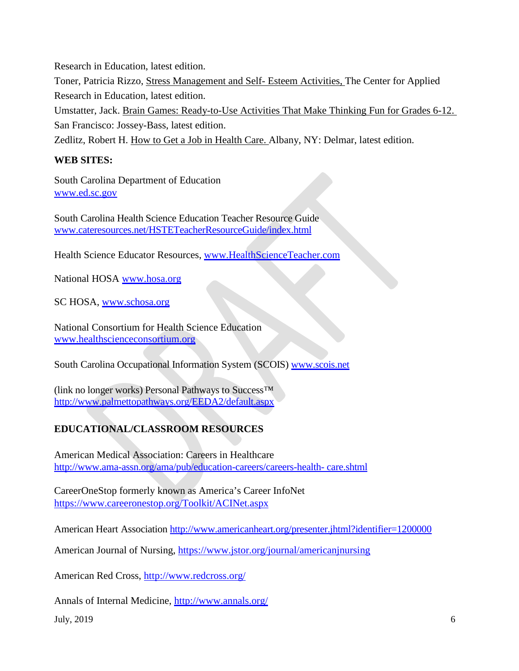Research in Education, latest edition. Toner, Patricia Rizzo, Stress Management and Self- Esteem Activities, The Center for Applied Research in Education, latest edition. Umstatter, Jack. Brain Games: Ready-to-Use Activities That Make Thinking Fun for Grades 6-12.

San Francisco: Jossey-Bass, latest edition.

Zedlitz, Robert H. How to Get a Job in Health Care. Albany, NY: Delmar, latest edition.

## **WEB SITES:**

South Carolina Department of Education [www.ed.sc.gov](http://www.ed.sc.gov/)

South Carolina Health Science Education Teacher Resource Guide [www.cateresources.net/HSTETeacherResourceGuide/index.html](http://www.cateresources.net/HSTETeacherResourceGuide/index.html)

Health Science Educator Resources, [www.HealthScienceTeacher.com](http://www.healthscienceteacher.com/)

National HOSA [www.hosa.org](http://www.hosa.org/)

SC HOSA, [www.schosa.org](http://www.schosa.org/)

National Consortium for Health Science Education [www.healthscienceconsortium.org](http://www.healthscienceconsortium.org/)

South Carolina Occupational Information System (SCOIS) [www.scois.net](http://www.scois.net/)

(link no longer works) Personal Pathways to Success™ <http://www.palmettopathways.org/EEDA2/default.aspx>

# **EDUCATIONAL/CLASSROOM RESOURCES**

American Medical Association: Careers in Healthcare [http://www.ama-assn.org/ama/pub/education-careers/careers-health-](http://www.ama-assn.org/ama/pub/education-careers/careers-health-care.shtml) [care.shtml](http://www.ama-assn.org/ama/pub/education-careers/careers-health-care.shtml)

CareerOneStop formerly known as America's Career InfoNet <https://www.careeronestop.org/Toolkit/ACINet.aspx>

American Heart Association<http://www.americanheart.org/presenter.jhtml?identifier=1200000>

American Journal of Nursing,<https://www.jstor.org/journal/americanjnursing>

American Red Cross,<http://www.redcross.org/>

Annals of Internal Medicine, <http://www.annals.org/>

July,  $2019$  6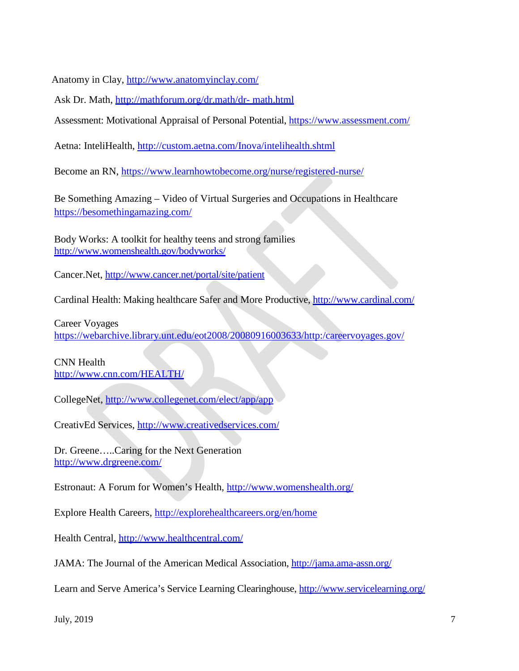Anatomy in Clay,<http://www.anatomyinclay.com/>

Ask Dr. Math, [http://mathforum.org/dr.math/dr-](http://mathforum.org/dr.math/dr-math.html) [math.html](http://mathforum.org/dr.math/dr-math.html)

Assessment: Motivational Appraisal of Personal Potential,<https://www.assessment.com/>

Aetna: InteliHealth,<http://custom.aetna.com/Inova/intelihealth.shtml>

Become an RN, <https://www.learnhowtobecome.org/nurse/registered-nurse/>

Be Something Amazing – Video of Virtual Surgeries and Occupations in Healthcare <https://besomethingamazing.com/>

Body Works: A toolkit for healthy teens and strong families <http://www.womenshealth.gov/bodyworks/>

Cancer.Net,<http://www.cancer.net/portal/site/patient>

Cardinal Health: Making healthcare Safer and More Productive,<http://www.cardinal.com/>

Career Voyages <https://webarchive.library.unt.edu/eot2008/20080916003633/http:/careervoyages.gov/>

CNN Health <http://www.cnn.com/HEALTH/>

CollegeNet, <http://www.collegenet.com/elect/app/app>

CreativEd Services,<http://www.creativedservices.com/>

Dr. Greene…..Caring for the Next Generation <http://www.drgreene.com/>

Estronaut: A Forum for Women's Health,<http://www.womenshealth.org/>

Explore Health Careers,<http://explorehealthcareers.org/en/home>

Health Central,<http://www.healthcentral.com/>

JAMA: The Journal of the American Medical Association,<http://jama.ama-assn.org/>

Learn and Serve America's Service Learning Clearinghouse,<http://www.servicelearning.org/>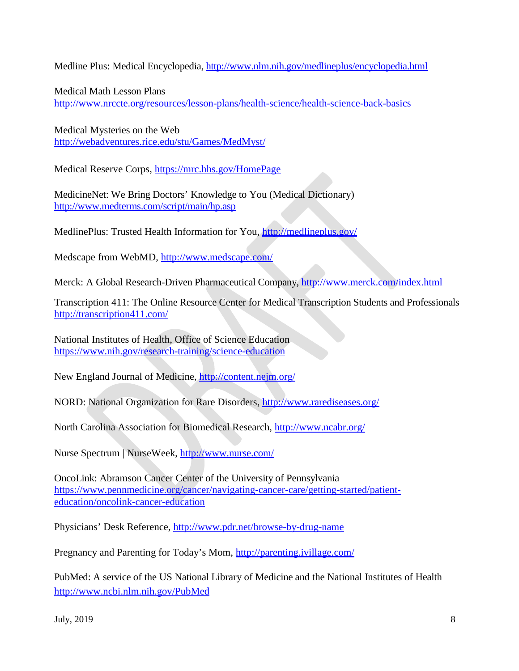Medline Plus: Medical Encyclopedia,<http://www.nlm.nih.gov/medlineplus/encyclopedia.html>

Medical Math Lesson Plans <http://www.nrccte.org/resources/lesson-plans/health-science/health-science-back-basics>

Medical Mysteries on the Web <http://webadventures.rice.edu/stu/Games/MedMyst/>

Medical Reserve Corps,<https://mrc.hhs.gov/HomePage>

MedicineNet: We Bring Doctors' Knowledge to You (Medical Dictionary) <http://www.medterms.com/script/main/hp.asp>

MedlinePlus: Trusted Health Information for You,<http://medlineplus.gov/>

Medscape from WebMD,<http://www.medscape.com/>

Merck: A Global Research-Driven Pharmaceutical Company,<http://www.merck.com/index.html>

Transcription 411: The Online Resource Center for Medical Transcription Students and Professionals <http://transcription411.com/>

National Institutes of Health, Office of Science Education <https://www.nih.gov/research-training/science-education>

New England Journal of Medicine,<http://content.nejm.org/>

NORD: National Organization for Rare Disorders,<http://www.rarediseases.org/>

North Carolina Association for Biomedical Research,<http://www.ncabr.org/>

Nurse Spectrum | NurseWeek,<http://www.nurse.com/>

OncoLink: Abramson Cancer Center of the University of Pennsylvania [https://www.pennmedicine.org/cancer/navigating-cancer-care/getting-started/patient](https://www.pennmedicine.org/cancer/navigating-cancer-care/getting-started/patient-education/oncolink-cancer-education)[education/oncolink-cancer-education](https://www.pennmedicine.org/cancer/navigating-cancer-care/getting-started/patient-education/oncolink-cancer-education)

Physicians' Desk Reference,<http://www.pdr.net/browse-by-drug-name>

Pregnancy and Parenting for Today's Mom,<http://parenting.ivillage.com/>

PubMed: A service of the US National Library of Medicine and the National Institutes of Health <http://www.ncbi.nlm.nih.gov/PubMed>